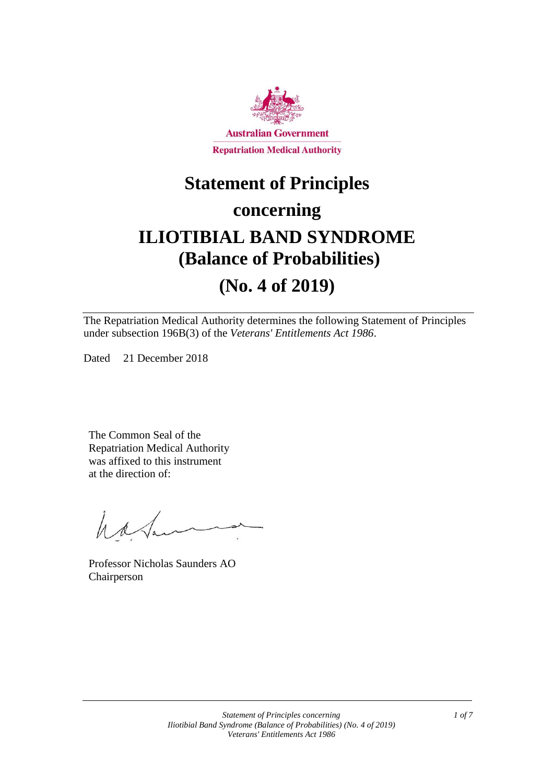

## **Statement of Principles**

### **concerning**

# **ILIOTIBIAL BAND SYNDROME (Balance of Probabilities)**

## **(No. 4 of 2019)**

The Repatriation Medical Authority determines the following Statement of Principles under subsection 196B(3) of the *Veterans' Entitlements Act 1986*.

Dated 21 December 2018

The Common Seal of the Repatriation Medical Authority was affixed to this instrument at the direction of:

have

Professor Nicholas Saunders AO Chairperson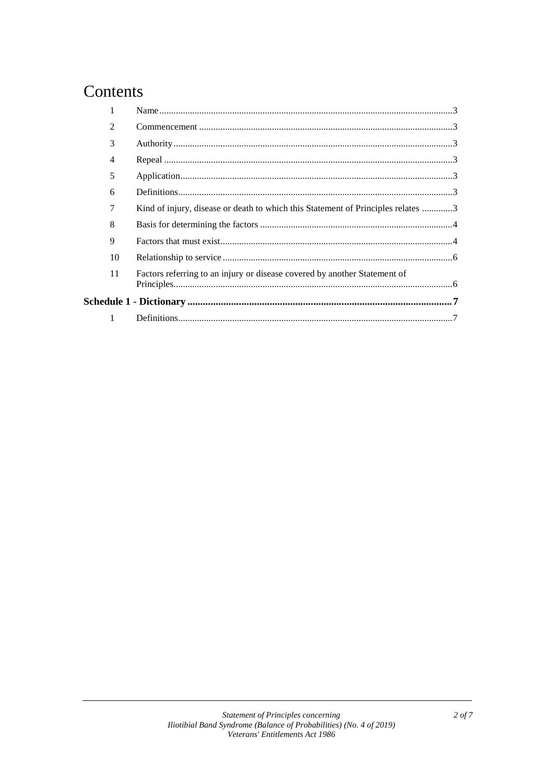### Contents

| $\overline{2}$ |                                                                                  |  |
|----------------|----------------------------------------------------------------------------------|--|
| 3              |                                                                                  |  |
| 4              |                                                                                  |  |
| 5              |                                                                                  |  |
| 6              |                                                                                  |  |
| 7              | Kind of injury, disease or death to which this Statement of Principles relates 3 |  |
| 8              |                                                                                  |  |
| 9              |                                                                                  |  |
| 10             |                                                                                  |  |
| 11             | Factors referring to an injury or disease covered by another Statement of        |  |
|                |                                                                                  |  |
|                |                                                                                  |  |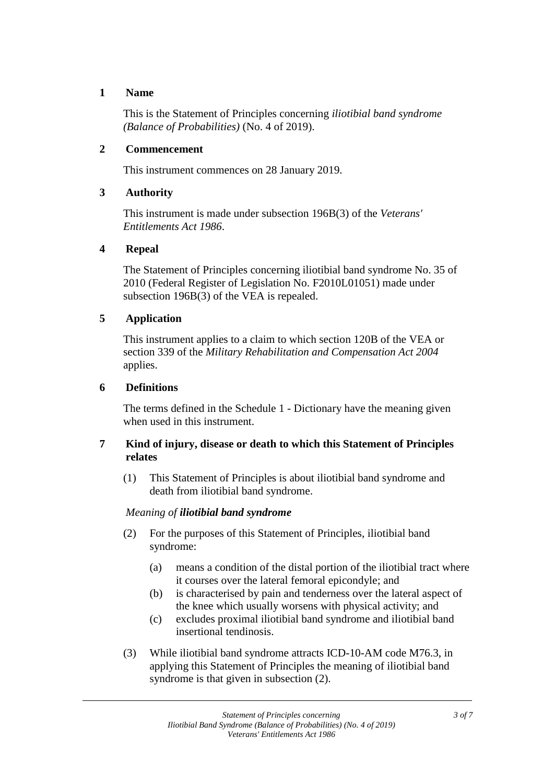#### **1 Name**

This is the Statement of Principles concerning *iliotibial band syndrome (Balance of Probabilities)* (No. 4 of 2019).

#### **2 Commencement**

This instrument commences on 28 January 2019.

#### **3 Authority**

This instrument is made under subsection 196B(3) of the *Veterans' Entitlements Act 1986*.

#### **4 Repeal**

The Statement of Principles concerning iliotibial band syndrome No. 35 of 2010 (Federal Register of Legislation No. F2010L01051) made under subsection 196B(3) of the VEA is repealed.

#### **5 Application**

This instrument applies to a claim to which section 120B of the VEA or section 339 of the *Military Rehabilitation and Compensation Act 2004* applies.

#### **6 Definitions**

The terms defined in the Schedule 1 - Dictionary have the meaning given when used in this instrument.

#### **7 Kind of injury, disease or death to which this Statement of Principles relates**

(1) This Statement of Principles is about iliotibial band syndrome and death from iliotibial band syndrome.

#### *Meaning of iliotibial band syndrome*

- (2) For the purposes of this Statement of Principles, iliotibial band syndrome:
	- (a) means a condition of the distal portion of the iliotibial tract where it courses over the lateral femoral epicondyle; and
	- (b) is characterised by pain and tenderness over the lateral aspect of the knee which usually worsens with physical activity; and
	- (c) excludes proximal iliotibial band syndrome and iliotibial band insertional tendinosis.
- (3) While iliotibial band syndrome attracts ICD-10-AM code M76.3, in applying this Statement of Principles the meaning of iliotibial band syndrome is that given in subsection  $(2)$ .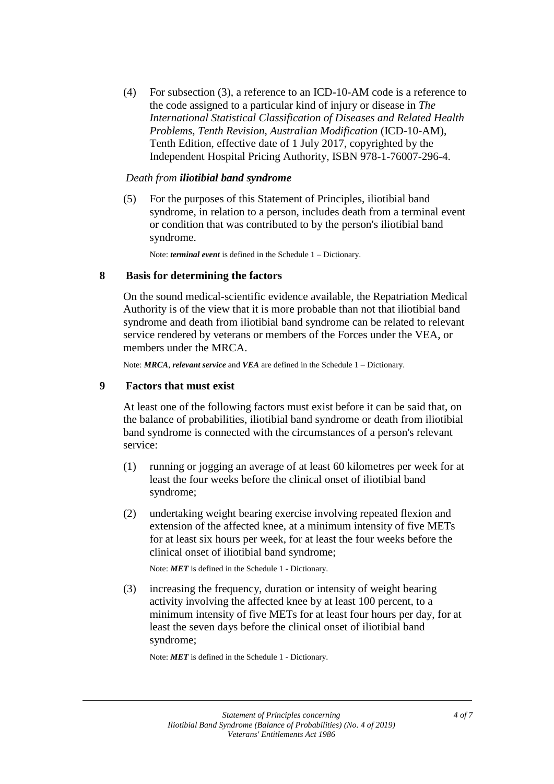(4) For subsection (3), a reference to an ICD-10-AM code is a reference to the code assigned to a particular kind of injury or disease in *The International Statistical Classification of Diseases and Related Health Problems, Tenth Revision, Australian Modification* (ICD-10-AM), Tenth Edition, effective date of 1 July 2017, copyrighted by the Independent Hospital Pricing Authority, ISBN 978-1-76007-296-4.

#### *Death from iliotibial band syndrome*

(5) For the purposes of this Statement of Principles, iliotibial band syndrome, in relation to a person, includes death from a terminal event or condition that was contributed to by the person's iliotibial band syndrome.

Note: *terminal event* is defined in the Schedule 1 – Dictionary.

#### **8 Basis for determining the factors**

On the sound medical-scientific evidence available, the Repatriation Medical Authority is of the view that it is more probable than not that iliotibial band syndrome and death from iliotibial band syndrome can be related to relevant service rendered by veterans or members of the Forces under the VEA, or members under the MRCA.

Note: *MRCA*, *relevant service* and *VEA* are defined in the Schedule 1 – Dictionary.

#### **9 Factors that must exist**

At least one of the following factors must exist before it can be said that, on the balance of probabilities, iliotibial band syndrome or death from iliotibial band syndrome is connected with the circumstances of a person's relevant service:

- (1) running or jogging an average of at least 60 kilometres per week for at least the four weeks before the clinical onset of iliotibial band syndrome;
- (2) undertaking weight bearing exercise involving repeated flexion and extension of the affected knee, at a minimum intensity of five METs for at least six hours per week, for at least the four weeks before the clinical onset of iliotibial band syndrome;

Note: *MET* is defined in the Schedule 1 - Dictionary.

(3) increasing the frequency, duration or intensity of weight bearing activity involving the affected knee by at least 100 percent, to a minimum intensity of five METs for at least four hours per day, for at least the seven days before the clinical onset of iliotibial band syndrome;

Note: *MET* is defined in the Schedule 1 - Dictionary.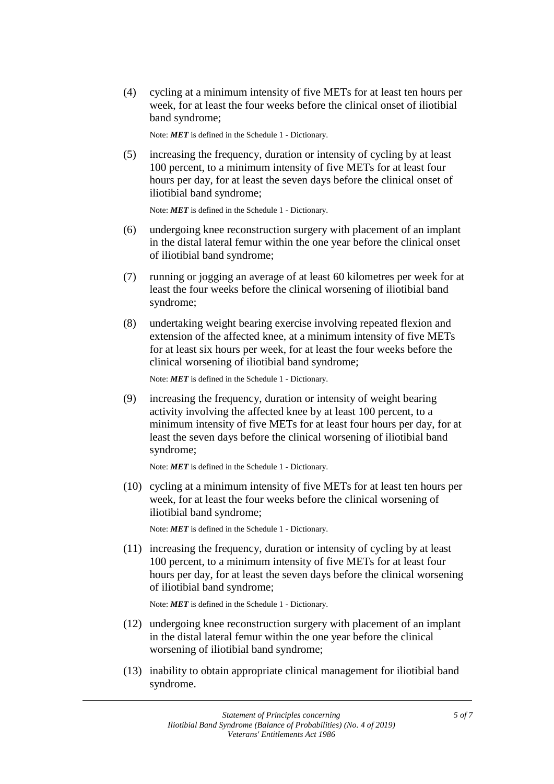(4) cycling at a minimum intensity of five METs for at least ten hours per week, for at least the four weeks before the clinical onset of iliotibial band syndrome;

Note: *MET* is defined in the Schedule 1 - Dictionary.

(5) increasing the frequency, duration or intensity of cycling by at least 100 percent, to a minimum intensity of five METs for at least four hours per day, for at least the seven days before the clinical onset of iliotibial band syndrome;

Note: *MET* is defined in the Schedule 1 - Dictionary.

- (6) undergoing knee reconstruction surgery with placement of an implant in the distal lateral femur within the one year before the clinical onset of iliotibial band syndrome;
- (7) running or jogging an average of at least 60 kilometres per week for at least the four weeks before the clinical worsening of iliotibial band syndrome;
- (8) undertaking weight bearing exercise involving repeated flexion and extension of the affected knee, at a minimum intensity of five METs for at least six hours per week, for at least the four weeks before the clinical worsening of iliotibial band syndrome;

Note: *MET* is defined in the Schedule 1 - Dictionary.

(9) increasing the frequency, duration or intensity of weight bearing activity involving the affected knee by at least 100 percent, to a minimum intensity of five METs for at least four hours per day, for at least the seven days before the clinical worsening of iliotibial band syndrome;

Note: *MET* is defined in the Schedule 1 - Dictionary.

(10) cycling at a minimum intensity of five METs for at least ten hours per week, for at least the four weeks before the clinical worsening of iliotibial band syndrome;

Note: *MET* is defined in the Schedule 1 - Dictionary.

(11) increasing the frequency, duration or intensity of cycling by at least 100 percent, to a minimum intensity of five METs for at least four hours per day, for at least the seven days before the clinical worsening of iliotibial band syndrome;

Note: *MET* is defined in the Schedule 1 - Dictionary.

- (12) undergoing knee reconstruction surgery with placement of an implant in the distal lateral femur within the one year before the clinical worsening of iliotibial band syndrome;
- (13) inability to obtain appropriate clinical management for iliotibial band syndrome.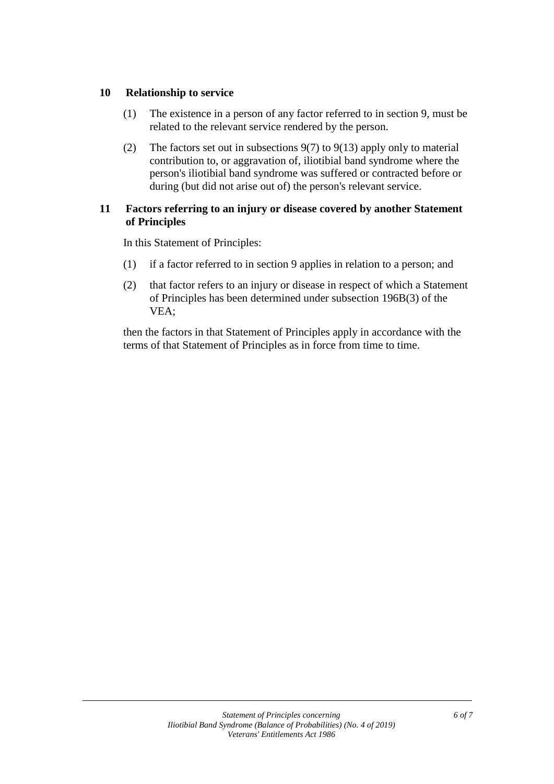#### **10 Relationship to service**

- (1) The existence in a person of any factor referred to in section 9, must be related to the relevant service rendered by the person.
- (2) The factors set out in subsections 9(7) to 9(13) apply only to material contribution to, or aggravation of, iliotibial band syndrome where the person's iliotibial band syndrome was suffered or contracted before or during (but did not arise out of) the person's relevant service.

#### **11 Factors referring to an injury or disease covered by another Statement of Principles**

In this Statement of Principles:

- (1) if a factor referred to in section 9 applies in relation to a person; and
- (2) that factor refers to an injury or disease in respect of which a Statement of Principles has been determined under subsection 196B(3) of the VEA;

then the factors in that Statement of Principles apply in accordance with the terms of that Statement of Principles as in force from time to time.